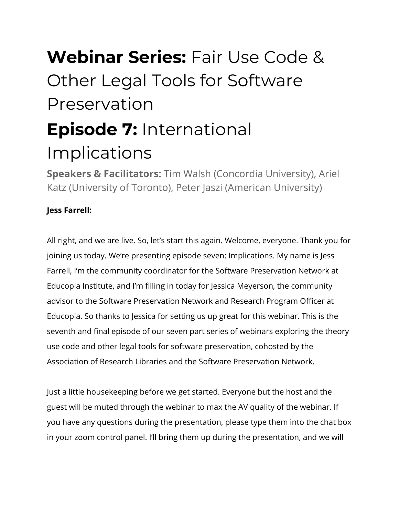# **Webinar Series:** Fair Use Code & Other Legal Tools for Software Preservation **Episode 7:** International Implications

**Speakers & Facilitators:** Tim Walsh (Concordia University),Ariel Katz (University of Toronto), Peter Jaszi (American University)

# **Jess Farrell:**

All right, and we are live. So, let's start this again. Welcome, everyone. Thank you for joining us today. We're presenting episode seven: Implications. My name is Jess Farrell, I'm the community coordinator for the Software Preservation Network at Educopia Institute, and I'm filling in today for Jessica Meyerson, the community advisor to the Software Preservation Network and Research Program Officer at Educopia. So thanks to Jessica for setting us up great for this webinar. This is the seventh and final episode of our seven part series of webinars exploring the theory use code and other legal tools for software preservation, cohosted by the Association of Research Libraries and the Software Preservation Network.

Just a little housekeeping before we get started. Everyone but the host and the guest will be muted through the webinar to max the AV quality of the webinar. If you have any questions during the presentation, please type them into the chat box in your zoom control panel. I'll bring them up during the presentation, and we will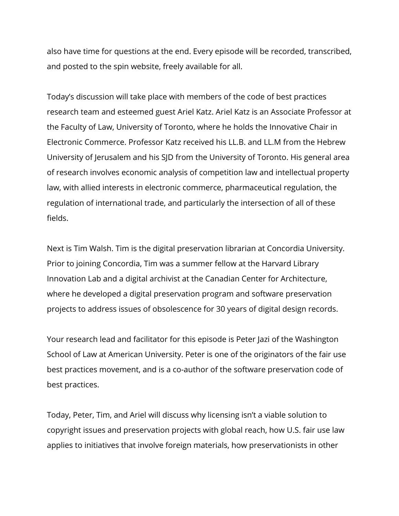also have time for questions at the end. Every episode will be recorded, transcribed, and posted to the spin website, freely available for all.

Today's discussion will take place with members of the code of best practices research team and esteemed guest Ariel Katz. Ariel Katz is an Associate Professor at the Faculty of Law, University of Toronto, where he holds the Innovative Chair in Electronic Commerce. Professor Katz received his LL.B. and LL.M from the Hebrew University of Jerusalem and his SJD from the University of Toronto. His general area of research involves economic analysis of competition law and intellectual property law, with allied interests in electronic commerce, pharmaceutical regulation, the regulation of international trade, and particularly the intersection of all of these fields.

Next is Tim Walsh. Tim is the digital preservation librarian at Concordia University. Prior to joining Concordia, Tim was a summer fellow at the Harvard Library Innovation Lab and a digital archivist at the Canadian Center for Architecture, where he developed a digital preservation program and software preservation projects to address issues of obsolescence for 30 years of digital design records.

Your research lead and facilitator for this episode is Peter Jazi of the Washington School of Law at American University. Peter is one of the originators of the fair use best practices movement, and is a co-author of the software preservation code of best practices.

Today, Peter, Tim, and Ariel will discuss why licensing isn't a viable solution to copyright issues and preservation projects with global reach, how U.S. fair use law applies to initiatives that involve foreign materials, how preservationists in other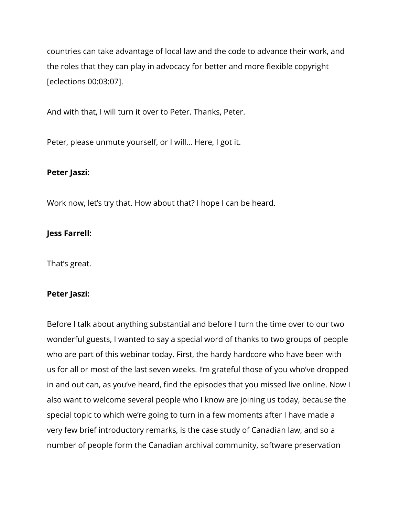countries can take advantage of local law and the code to advance their work, and the roles that they can play in advocacy for better and more flexible copyright [eclections 00:03:07].

And with that, I will turn it over to Peter. Thanks, Peter.

Peter, please unmute yourself, or I will… Here, I got it.

# **Peter Jaszi:**

Work now, let's try that. How about that? I hope I can be heard.

# **Jess Farrell:**

That's great.

#### **Peter Jaszi:**

Before I talk about anything substantial and before I turn the time over to our two wonderful guests, I wanted to say a special word of thanks to two groups of people who are part of this webinar today. First, the hardy hardcore who have been with us for all or most of the last seven weeks. I'm grateful those of you who've dropped in and out can, as you've heard, find the episodes that you missed live online. Now I also want to welcome several people who I know are joining us today, because the special topic to which we're going to turn in a few moments after I have made a very few brief introductory remarks, is the case study of Canadian law, and so a number of people form the Canadian archival community, software preservation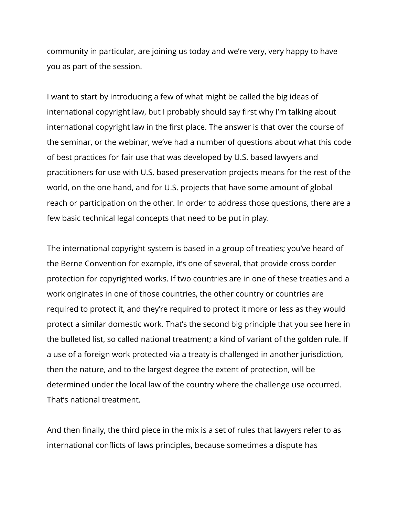community in particular, are joining us today and we're very, very happy to have you as part of the session.

I want to start by introducing a few of what might be called the big ideas of international copyright law, but I probably should say first why I'm talking about international copyright law in the first place. The answer is that over the course of the seminar, or the webinar, we've had a number of questions about what this code of best practices for fair use that was developed by U.S. based lawyers and practitioners for use with U.S. based preservation projects means for the rest of the world, on the one hand, and for U.S. projects that have some amount of global reach or participation on the other. In order to address those questions, there are a few basic technical legal concepts that need to be put in play.

The international copyright system is based in a group of treaties; you've heard of the Berne Convention for example, it's one of several, that provide cross border protection for copyrighted works. If two countries are in one of these treaties and a work originates in one of those countries, the other country or countries are required to protect it, and they're required to protect it more or less as they would protect a similar domestic work. That's the second big principle that you see here in the bulleted list, so called national treatment; a kind of variant of the golden rule. If a use of a foreign work protected via a treaty is challenged in another jurisdiction, then the nature, and to the largest degree the extent of protection, will be determined under the local law of the country where the challenge use occurred. That's national treatment.

And then finally, the third piece in the mix is a set of rules that lawyers refer to as international conflicts of laws principles, because sometimes a dispute has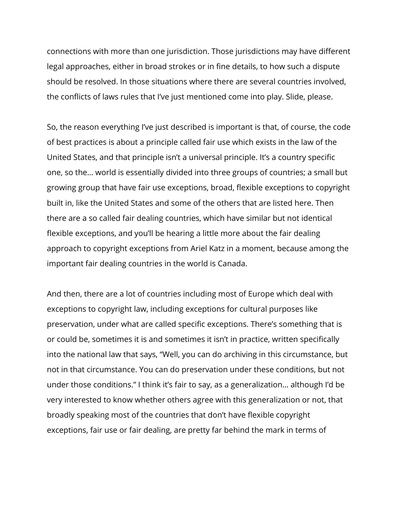connections with more than one jurisdiction. Those jurisdictions may have different legal approaches, either in broad strokes or in fine details, to how such a dispute should be resolved. In those situations where there are several countries involved, the conflicts of laws rules that I've just mentioned come into play. Slide, please.

So, the reason everything I've just described is important is that, of course, the code of best practices is about a principle called fair use which exists in the law of the United States, and that principle isn't a universal principle. It's a country specific one, so the… world is essentially divided into three groups of countries; a small but growing group that have fair use exceptions, broad, flexible exceptions to copyright built in, like the United States and some of the others that are listed here. Then there are a so called fair dealing countries, which have similar but not identical flexible exceptions, and you'll be hearing a little more about the fair dealing approach to copyright exceptions from Ariel Katz in a moment, because among the important fair dealing countries in the world is Canada.

And then, there are a lot of countries including most of Europe which deal with exceptions to copyright law, including exceptions for cultural purposes like preservation, under what are called specific exceptions. There's something that is or could be, sometimes it is and sometimes it isn't in practice, written specifically into the national law that says, "Well, you can do archiving in this circumstance, but not in that circumstance. You can do preservation under these conditions, but not under those conditions." I think it's fair to say, as a generalization… although I'd be very interested to know whether others agree with this generalization or not, that broadly speaking most of the countries that don't have flexible copyright exceptions, fair use or fair dealing, are pretty far behind the mark in terms of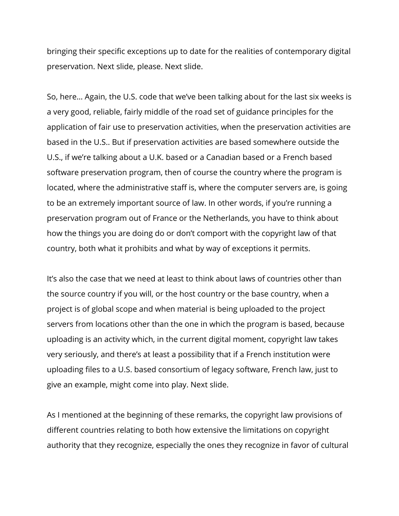bringing their specific exceptions up to date for the realities of contemporary digital preservation. Next slide, please. Next slide.

So, here… Again, the U.S. code that we've been talking about for the last six weeks is a very good, reliable, fairly middle of the road set of guidance principles for the application of fair use to preservation activities, when the preservation activities are based in the U.S.. But if preservation activities are based somewhere outside the U.S., if we're talking about a U.K. based or a Canadian based or a French based software preservation program, then of course the country where the program is located, where the administrative staff is, where the computer servers are, is going to be an extremely important source of law. In other words, if you're running a preservation program out of France or the Netherlands, you have to think about how the things you are doing do or don't comport with the copyright law of that country, both what it prohibits and what by way of exceptions it permits.

It's also the case that we need at least to think about laws of countries other than the source country if you will, or the host country or the base country, when a project is of global scope and when material is being uploaded to the project servers from locations other than the one in which the program is based, because uploading is an activity which, in the current digital moment, copyright law takes very seriously, and there's at least a possibility that if a French institution were uploading files to a U.S. based consortium of legacy software, French law, just to give an example, might come into play. Next slide.

As I mentioned at the beginning of these remarks, the copyright law provisions of different countries relating to both how extensive the limitations on copyright authority that they recognize, especially the ones they recognize in favor of cultural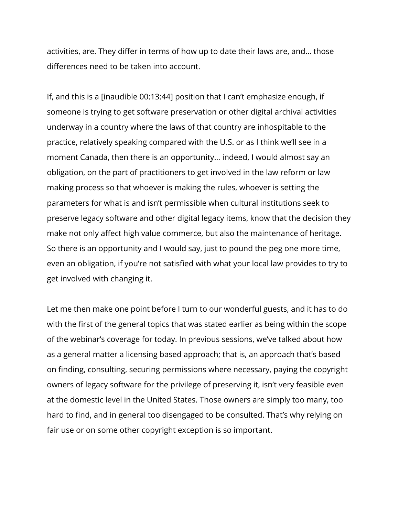activities, are. They differ in terms of how up to date their laws are, and… those differences need to be taken into account.

If, and this is a [inaudible 00:13:44] position that I can't emphasize enough, if someone is trying to get software preservation or other digital archival activities underway in a country where the laws of that country are inhospitable to the practice, relatively speaking compared with the U.S. or as I think we'll see in a moment Canada, then there is an opportunity… indeed, I would almost say an obligation, on the part of practitioners to get involved in the law reform or law making process so that whoever is making the rules, whoever is setting the parameters for what is and isn't permissible when cultural institutions seek to preserve legacy software and other digital legacy items, know that the decision they make not only affect high value commerce, but also the maintenance of heritage. So there is an opportunity and I would say, just to pound the peg one more time, even an obligation, if you're not satisfied with what your local law provides to try to get involved with changing it.

Let me then make one point before I turn to our wonderful guests, and it has to do with the first of the general topics that was stated earlier as being within the scope of the webinar's coverage for today. In previous sessions, we've talked about how as a general matter a licensing based approach; that is, an approach that's based on finding, consulting, securing permissions where necessary, paying the copyright owners of legacy software for the privilege of preserving it, isn't very feasible even at the domestic level in the United States. Those owners are simply too many, too hard to find, and in general too disengaged to be consulted. That's why relying on fair use or on some other copyright exception is so important.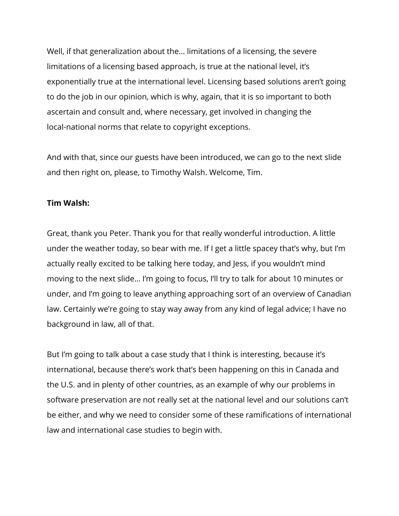Well, if that generalization about the… limitations of a licensing, the severe limitations of a licensing based approach, is true at the national level, it's exponentially true at the international level. Licensing based solutions aren't going to do the job in our opinion, which is why, again, that it is so important to both ascertain and consult and, where necessary, get involved in changing the local-national norms that relate to copyright exceptions.

And with that, since our guests have been introduced, we can go to the next slide and then right on, please, to Timothy Walsh. Welcome, Tim.

#### **Tim Walsh:**

Great, thank you Peter. Thank you for that really wonderful introduction. A little under the weather today, so bear with me. If I get a little spacey that's why, but I'm actually really excited to be talking here today, and Jess, if you wouldn't mind moving to the next slide… I'm going to focus, I'll try to talk for about 10 minutes or under, and I'm going to leave anything approaching sort of an overview of Canadian law. Certainly we're going to stay way away from any kind of legal advice; I have no background in law, all of that.

But I'm going to talk about a case study that I think is interesting, because it's international, because there's work that's been happening on this in Canada and the U.S. and in plenty of other countries, as an example of why our problems in software preservation are not really set at the national level and our solutions can't be either, and why we need to consider some of these ramifications of international law and international case studies to begin with.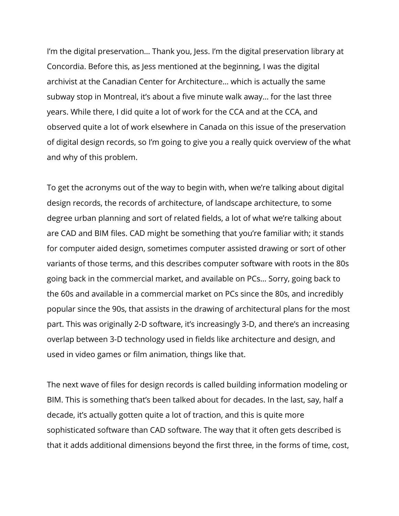I'm the digital preservation… Thank you, Jess. I'm the digital preservation library at Concordia. Before this, as Jess mentioned at the beginning, I was the digital archivist at the Canadian Center for Architecture… which is actually the same subway stop in Montreal, it's about a five minute walk away… for the last three years. While there, I did quite a lot of work for the CCA and at the CCA, and observed quite a lot of work elsewhere in Canada on this issue of the preservation of digital design records, so I'm going to give you a really quick overview of the what and why of this problem.

To get the acronyms out of the way to begin with, when we're talking about digital design records, the records of architecture, of landscape architecture, to some degree urban planning and sort of related fields, a lot of what we're talking about are CAD and BIM files. CAD might be something that you're familiar with; it stands for computer aided design, sometimes computer assisted drawing or sort of other variants of those terms, and this describes computer software with roots in the 80s going back in the commercial market, and available on PCs… Sorry, going back to the 60s and available in a commercial market on PCs since the 80s, and incredibly popular since the 90s, that assists in the drawing of architectural plans for the most part. This was originally 2-D software, it's increasingly 3-D, and there's an increasing overlap between 3-D technology used in fields like architecture and design, and used in video games or film animation, things like that.

The next wave of files for design records is called building information modeling or BIM. This is something that's been talked about for decades. In the last, say, half a decade, it's actually gotten quite a lot of traction, and this is quite more sophisticated software than CAD software. The way that it often gets described is that it adds additional dimensions beyond the first three, in the forms of time, cost,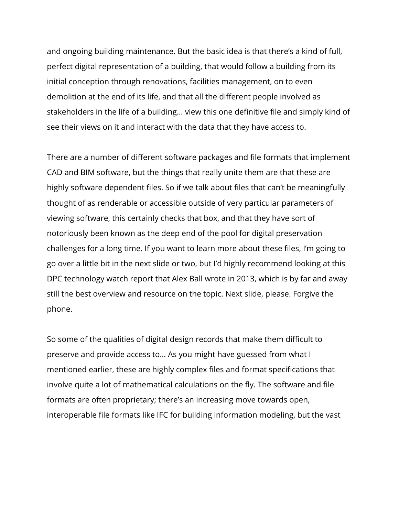and ongoing building maintenance. But the basic idea is that there's a kind of full, perfect digital representation of a building, that would follow a building from its initial conception through renovations, facilities management, on to even demolition at the end of its life, and that all the different people involved as stakeholders in the life of a building… view this one definitive file and simply kind of see their views on it and interact with the data that they have access to.

There are a number of different software packages and file formats that implement CAD and BIM software, but the things that really unite them are that these are highly software dependent files. So if we talk about files that can't be meaningfully thought of as renderable or accessible outside of very particular parameters of viewing software, this certainly checks that box, and that they have sort of notoriously been known as the deep end of the pool for digital preservation challenges for a long time. If you want to learn more about these files, I'm going to go over a little bit in the next slide or two, but I'd highly recommend looking at this DPC technology watch report that Alex Ball wrote in 2013, which is by far and away still the best overview and resource on the topic. Next slide, please. Forgive the phone.

So some of the qualities of digital design records that make them difficult to preserve and provide access to… As you might have guessed from what I mentioned earlier, these are highly complex files and format specifications that involve quite a lot of mathematical calculations on the fly. The software and file formats are often proprietary; there's an increasing move towards open, interoperable file formats like IFC for building information modeling, but the vast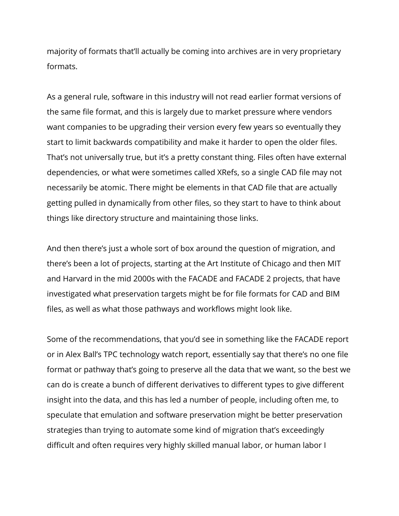majority of formats that'll actually be coming into archives are in very proprietary formats.

As a general rule, software in this industry will not read earlier format versions of the same file format, and this is largely due to market pressure where vendors want companies to be upgrading their version every few years so eventually they start to limit backwards compatibility and make it harder to open the older files. That's not universally true, but it's a pretty constant thing. Files often have external dependencies, or what were sometimes called XRefs, so a single CAD file may not necessarily be atomic. There might be elements in that CAD file that are actually getting pulled in dynamically from other files, so they start to have to think about things like directory structure and maintaining those links.

And then there's just a whole sort of box around the question of migration, and there's been a lot of projects, starting at the Art Institute of Chicago and then MIT and Harvard in the mid 2000s with the FACADE and FACADE 2 projects, that have investigated what preservation targets might be for file formats for CAD and BIM files, as well as what those pathways and workflows might look like.

Some of the recommendations, that you'd see in something like the FACADE report or in Alex Ball's TPC technology watch report, essentially say that there's no one file format or pathway that's going to preserve all the data that we want, so the best we can do is create a bunch of different derivatives to different types to give different insight into the data, and this has led a number of people, including often me, to speculate that emulation and software preservation might be better preservation strategies than trying to automate some kind of migration that's exceedingly difficult and often requires very highly skilled manual labor, or human labor I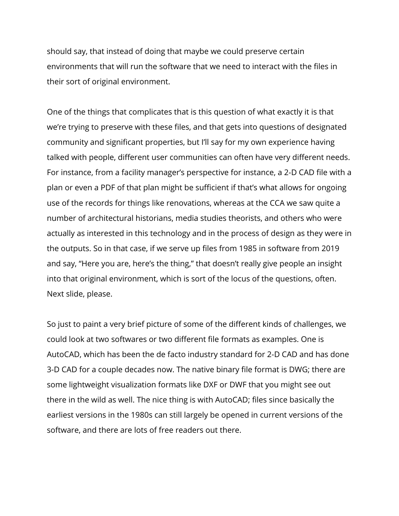should say, that instead of doing that maybe we could preserve certain environments that will run the software that we need to interact with the files in their sort of original environment.

One of the things that complicates that is this question of what exactly it is that we're trying to preserve with these files, and that gets into questions of designated community and significant properties, but I'll say for my own experience having talked with people, different user communities can often have very different needs. For instance, from a facility manager's perspective for instance, a 2-D CAD file with a plan or even a PDF of that plan might be sufficient if that's what allows for ongoing use of the records for things like renovations, whereas at the CCA we saw quite a number of architectural historians, media studies theorists, and others who were actually as interested in this technology and in the process of design as they were in the outputs. So in that case, if we serve up files from 1985 in software from 2019 and say, "Here you are, here's the thing," that doesn't really give people an insight into that original environment, which is sort of the locus of the questions, often. Next slide, please.

So just to paint a very brief picture of some of the different kinds of challenges, we could look at two softwares or two different file formats as examples. One is AutoCAD, which has been the de facto industry standard for 2-D CAD and has done 3-D CAD for a couple decades now. The native binary file format is DWG; there are some lightweight visualization formats like DXF or DWF that you might see out there in the wild as well. The nice thing is with AutoCAD; files since basically the earliest versions in the 1980s can still largely be opened in current versions of the software, and there are lots of free readers out there.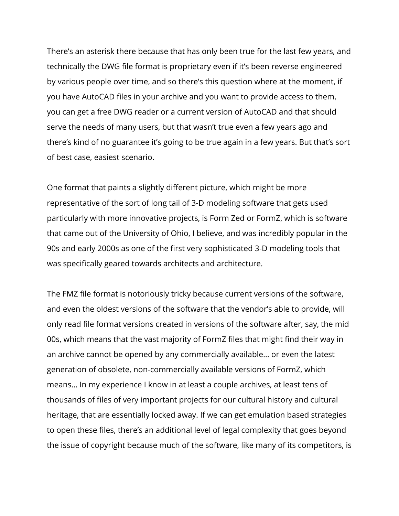There's an asterisk there because that has only been true for the last few years, and technically the DWG file format is proprietary even if it's been reverse engineered by various people over time, and so there's this question where at the moment, if you have AutoCAD files in your archive and you want to provide access to them, you can get a free DWG reader or a current version of AutoCAD and that should serve the needs of many users, but that wasn't true even a few years ago and there's kind of no guarantee it's going to be true again in a few years. But that's sort of best case, easiest scenario.

One format that paints a slightly different picture, which might be more representative of the sort of long tail of 3-D modeling software that gets used particularly with more innovative projects, is Form Zed or FormZ, which is software that came out of the University of Ohio, I believe, and was incredibly popular in the 90s and early 2000s as one of the first very sophisticated 3-D modeling tools that was specifically geared towards architects and architecture.

The FMZ file format is notoriously tricky because current versions of the software, and even the oldest versions of the software that the vendor's able to provide, will only read file format versions created in versions of the software after, say, the mid 00s, which means that the vast majority of FormZ files that might find their way in an archive cannot be opened by any commercially available… or even the latest generation of obsolete, non-commercially available versions of FormZ, which means… In my experience I know in at least a couple archives, at least tens of thousands of files of very important projects for our cultural history and cultural heritage, that are essentially locked away. If we can get emulation based strategies to open these files, there's an additional level of legal complexity that goes beyond the issue of copyright because much of the software, like many of its competitors, is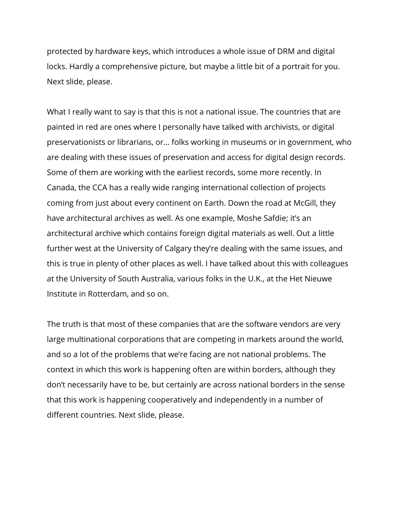protected by hardware keys, which introduces a whole issue of DRM and digital locks. Hardly a comprehensive picture, but maybe a little bit of a portrait for you. Next slide, please.

What I really want to say is that this is not a national issue. The countries that are painted in red are ones where I personally have talked with archivists, or digital preservationists or librarians, or… folks working in museums or in government, who are dealing with these issues of preservation and access for digital design records. Some of them are working with the earliest records, some more recently. In Canada, the CCA has a really wide ranging international collection of projects coming from just about every continent on Earth. Down the road at McGill, they have architectural archives as well. As one example, Moshe Safdie; it's an architectural archive which contains foreign digital materials as well. Out a little further west at the University of Calgary they're dealing with the same issues, and this is true in plenty of other places as well. I have talked about this with colleagues at the University of South Australia, various folks in the U.K., at the Het Nieuwe Institute in Rotterdam, and so on.

The truth is that most of these companies that are the software vendors are very large multinational corporations that are competing in markets around the world, and so a lot of the problems that we're facing are not national problems. The context in which this work is happening often are within borders, although they don't necessarily have to be, but certainly are across national borders in the sense that this work is happening cooperatively and independently in a number of different countries. Next slide, please.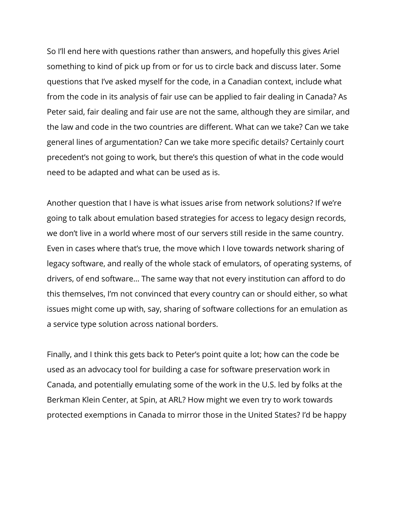So I'll end here with questions rather than answers, and hopefully this gives Ariel something to kind of pick up from or for us to circle back and discuss later. Some questions that I've asked myself for the code, in a Canadian context, include what from the code in its analysis of fair use can be applied to fair dealing in Canada? As Peter said, fair dealing and fair use are not the same, although they are similar, and the law and code in the two countries are different. What can we take? Can we take general lines of argumentation? Can we take more specific details? Certainly court precedent's not going to work, but there's this question of what in the code would need to be adapted and what can be used as is.

Another question that I have is what issues arise from network solutions? If we're going to talk about emulation based strategies for access to legacy design records, we don't live in a world where most of our servers still reside in the same country. Even in cases where that's true, the move which I love towards network sharing of legacy software, and really of the whole stack of emulators, of operating systems, of drivers, of end software… The same way that not every institution can afford to do this themselves, I'm not convinced that every country can or should either, so what issues might come up with, say, sharing of software collections for an emulation as a service type solution across national borders.

Finally, and I think this gets back to Peter's point quite a lot; how can the code be used as an advocacy tool for building a case for software preservation work in Canada, and potentially emulating some of the work in the U.S. led by folks at the Berkman Klein Center, at Spin, at ARL? How might we even try to work towards protected exemptions in Canada to mirror those in the United States? I'd be happy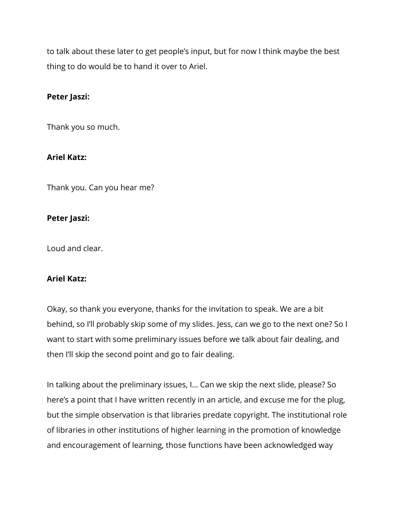to talk about these later to get people's input, but for now I think maybe the best thing to do would be to hand it over to Ariel.

# **Peter Jaszi:**

Thank you so much.

# **Ariel Katz:**

Thank you. Can you hear me?

#### **Peter Jaszi:**

Loud and clear.

# **Ariel Katz:**

Okay, so thank you everyone, thanks for the invitation to speak. We are a bit behind, so I'll probably skip some of my slides. Jess, can we go to the next one? So I want to start with some preliminary issues before we talk about fair dealing, and then I'll skip the second point and go to fair dealing.

In talking about the preliminary issues, I… Can we skip the next slide, please? So here's a point that I have written recently in an article, and excuse me for the plug, but the simple observation is that libraries predate copyright. The institutional role of libraries in other institutions of higher learning in the promotion of knowledge and encouragement of learning, those functions have been acknowledged way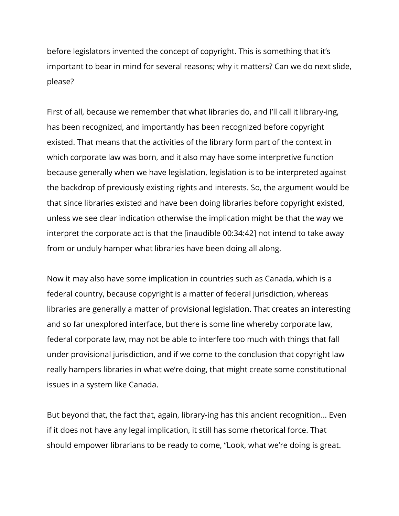before legislators invented the concept of copyright. This is something that it's important to bear in mind for several reasons; why it matters? Can we do next slide, please?

First of all, because we remember that what libraries do, and I'll call it library-ing, has been recognized, and importantly has been recognized before copyright existed. That means that the activities of the library form part of the context in which corporate law was born, and it also may have some interpretive function because generally when we have legislation, legislation is to be interpreted against the backdrop of previously existing rights and interests. So, the argument would be that since libraries existed and have been doing libraries before copyright existed, unless we see clear indication otherwise the implication might be that the way we interpret the corporate act is that the [inaudible 00:34:42] not intend to take away from or unduly hamper what libraries have been doing all along.

Now it may also have some implication in countries such as Canada, which is a federal country, because copyright is a matter of federal jurisdiction, whereas libraries are generally a matter of provisional legislation. That creates an interesting and so far unexplored interface, but there is some line whereby corporate law, federal corporate law, may not be able to interfere too much with things that fall under provisional jurisdiction, and if we come to the conclusion that copyright law really hampers libraries in what we're doing, that might create some constitutional issues in a system like Canada.

But beyond that, the fact that, again, library-ing has this ancient recognition… Even if it does not have any legal implication, it still has some rhetorical force. That should empower librarians to be ready to come, "Look, what we're doing is great.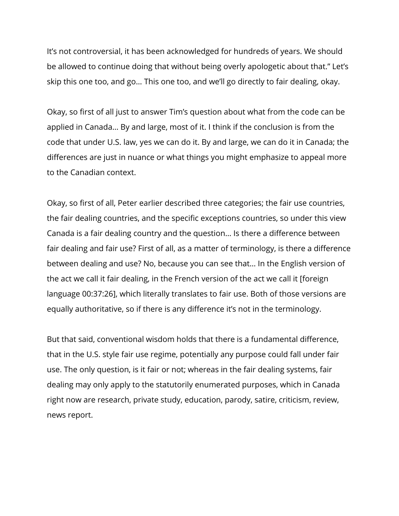It's not controversial, it has been acknowledged for hundreds of years. We should be allowed to continue doing that without being overly apologetic about that." Let's skip this one too, and go… This one too, and we'll go directly to fair dealing, okay.

Okay, so first of all just to answer Tim's question about what from the code can be applied in Canada… By and large, most of it. I think if the conclusion is from the code that under U.S. law, yes we can do it. By and large, we can do it in Canada; the differences are just in nuance or what things you might emphasize to appeal more to the Canadian context.

Okay, so first of all, Peter earlier described three categories; the fair use countries, the fair dealing countries, and the specific exceptions countries, so under this view Canada is a fair dealing country and the question… Is there a difference between fair dealing and fair use? First of all, as a matter of terminology, is there a difference between dealing and use? No, because you can see that… In the English version of the act we call it fair dealing, in the French version of the act we call it [foreign language 00:37:26], which literally translates to fair use. Both of those versions are equally authoritative, so if there is any difference it's not in the terminology.

But that said, conventional wisdom holds that there is a fundamental difference, that in the U.S. style fair use regime, potentially any purpose could fall under fair use. The only question, is it fair or not; whereas in the fair dealing systems, fair dealing may only apply to the statutorily enumerated purposes, which in Canada right now are research, private study, education, parody, satire, criticism, review, news report.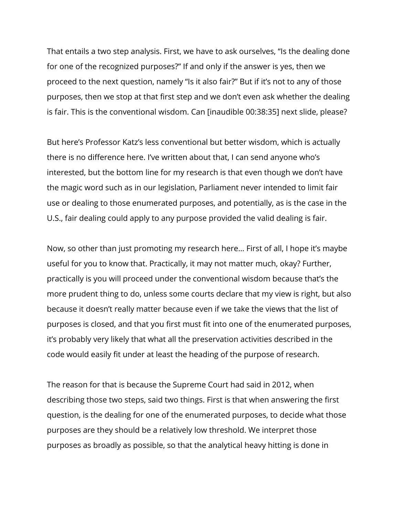That entails a two step analysis. First, we have to ask ourselves, "Is the dealing done for one of the recognized purposes?" If and only if the answer is yes, then we proceed to the next question, namely "Is it also fair?" But if it's not to any of those purposes, then we stop at that first step and we don't even ask whether the dealing is fair. This is the conventional wisdom. Can [inaudible 00:38:35] next slide, please?

But here's Professor Katz's less conventional but better wisdom, which is actually there is no difference here. I've written about that, I can send anyone who's interested, but the bottom line for my research is that even though we don't have the magic word such as in our legislation, Parliament never intended to limit fair use or dealing to those enumerated purposes, and potentially, as is the case in the U.S., fair dealing could apply to any purpose provided the valid dealing is fair.

Now, so other than just promoting my research here… First of all, I hope it's maybe useful for you to know that. Practically, it may not matter much, okay? Further, practically is you will proceed under the conventional wisdom because that's the more prudent thing to do, unless some courts declare that my view is right, but also because it doesn't really matter because even if we take the views that the list of purposes is closed, and that you first must fit into one of the enumerated purposes, it's probably very likely that what all the preservation activities described in the code would easily fit under at least the heading of the purpose of research.

The reason for that is because the Supreme Court had said in 2012, when describing those two steps, said two things. First is that when answering the first question, is the dealing for one of the enumerated purposes, to decide what those purposes are they should be a relatively low threshold. We interpret those purposes as broadly as possible, so that the analytical heavy hitting is done in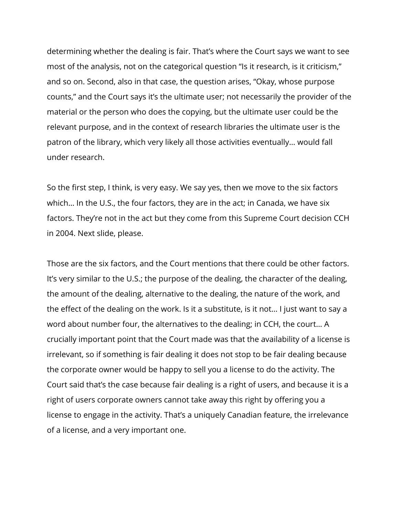determining whether the dealing is fair. That's where the Court says we want to see most of the analysis, not on the categorical question "Is it research, is it criticism," and so on. Second, also in that case, the question arises, "Okay, whose purpose counts," and the Court says it's the ultimate user; not necessarily the provider of the material or the person who does the copying, but the ultimate user could be the relevant purpose, and in the context of research libraries the ultimate user is the patron of the library, which very likely all those activities eventually… would fall under research.

So the first step, I think, is very easy. We say yes, then we move to the six factors which… In the U.S., the four factors, they are in the act; in Canada, we have six factors. They're not in the act but they come from this Supreme Court decision CCH in 2004. Next slide, please.

Those are the six factors, and the Court mentions that there could be other factors. It's very similar to the U.S.; the purpose of the dealing, the character of the dealing, the amount of the dealing, alternative to the dealing, the nature of the work, and the effect of the dealing on the work. Is it a substitute, is it not… I just want to say a word about number four, the alternatives to the dealing; in CCH, the court… A crucially important point that the Court made was that the availability of a license is irrelevant, so if something is fair dealing it does not stop to be fair dealing because the corporate owner would be happy to sell you a license to do the activity. The Court said that's the case because fair dealing is a right of users, and because it is a right of users corporate owners cannot take away this right by offering you a license to engage in the activity. That's a uniquely Canadian feature, the irrelevance of a license, and a very important one.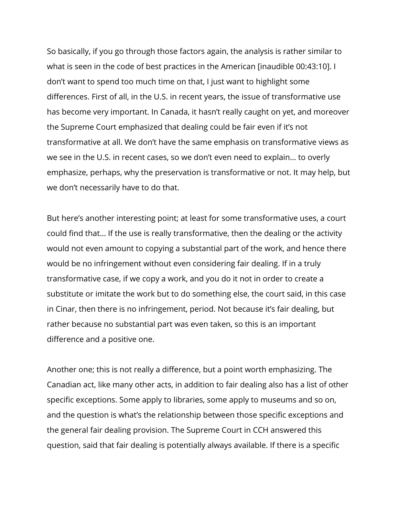So basically, if you go through those factors again, the analysis is rather similar to what is seen in the code of best practices in the American [inaudible 00:43:10]. I don't want to spend too much time on that, I just want to highlight some differences. First of all, in the U.S. in recent years, the issue of transformative use has become very important. In Canada, it hasn't really caught on yet, and moreover the Supreme Court emphasized that dealing could be fair even if it's not transformative at all. We don't have the same emphasis on transformative views as we see in the U.S. in recent cases, so we don't even need to explain… to overly emphasize, perhaps, why the preservation is transformative or not. It may help, but we don't necessarily have to do that.

But here's another interesting point; at least for some transformative uses, a court could find that… If the use is really transformative, then the dealing or the activity would not even amount to copying a substantial part of the work, and hence there would be no infringement without even considering fair dealing. If in a truly transformative case, if we copy a work, and you do it not in order to create a substitute or imitate the work but to do something else, the court said, in this case in Cinar, then there is no infringement, period. Not because it's fair dealing, but rather because no substantial part was even taken, so this is an important difference and a positive one.

Another one; this is not really a difference, but a point worth emphasizing. The Canadian act, like many other acts, in addition to fair dealing also has a list of other specific exceptions. Some apply to libraries, some apply to museums and so on, and the question is what's the relationship between those specific exceptions and the general fair dealing provision. The Supreme Court in CCH answered this question, said that fair dealing is potentially always available. If there is a specific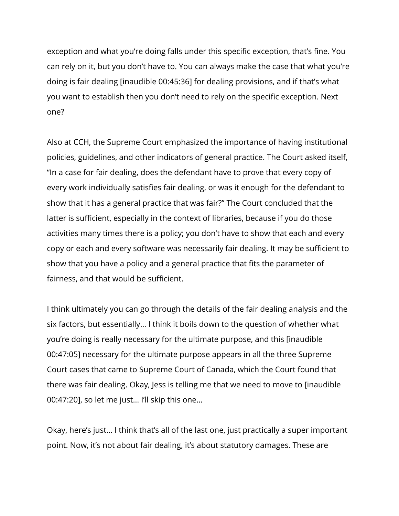exception and what you're doing falls under this specific exception, that's fine. You can rely on it, but you don't have to. You can always make the case that what you're doing is fair dealing [inaudible 00:45:36] for dealing provisions, and if that's what you want to establish then you don't need to rely on the specific exception. Next one?

Also at CCH, the Supreme Court emphasized the importance of having institutional policies, guidelines, and other indicators of general practice. The Court asked itself, "In a case for fair dealing, does the defendant have to prove that every copy of every work individually satisfies fair dealing, or was it enough for the defendant to show that it has a general practice that was fair?" The Court concluded that the latter is sufficient, especially in the context of libraries, because if you do those activities many times there is a policy; you don't have to show that each and every copy or each and every software was necessarily fair dealing. It may be sufficient to show that you have a policy and a general practice that fits the parameter of fairness, and that would be sufficient.

I think ultimately you can go through the details of the fair dealing analysis and the six factors, but essentially… I think it boils down to the question of whether what you're doing is really necessary for the ultimate purpose, and this [inaudible 00:47:05] necessary for the ultimate purpose appears in all the three Supreme Court cases that came to Supreme Court of Canada, which the Court found that there was fair dealing. Okay, Jess is telling me that we need to move to [inaudible 00:47:20], so let me just… I'll skip this one…

Okay, here's just… I think that's all of the last one, just practically a super important point. Now, it's not about fair dealing, it's about statutory damages. These are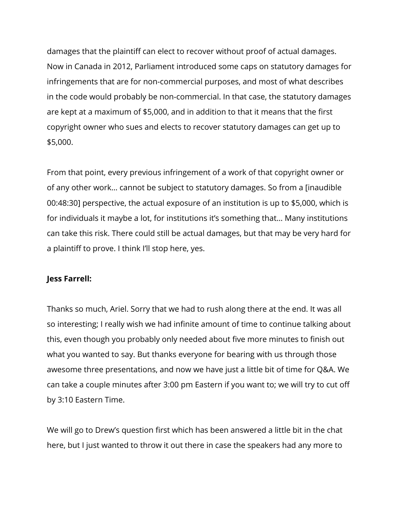damages that the plaintiff can elect to recover without proof of actual damages. Now in Canada in 2012, Parliament introduced some caps on statutory damages for infringements that are for non-commercial purposes, and most of what describes in the code would probably be non-commercial. In that case, the statutory damages are kept at a maximum of \$5,000, and in addition to that it means that the first copyright owner who sues and elects to recover statutory damages can get up to \$5,000.

From that point, every previous infringement of a work of that copyright owner or of any other work… cannot be subject to statutory damages. So from a [inaudible 00:48:30] perspective, the actual exposure of an institution is up to \$5,000, which is for individuals it maybe a lot, for institutions it's something that… Many institutions can take this risk. There could still be actual damages, but that may be very hard for a plaintiff to prove. I think I'll stop here, yes.

#### **Jess Farrell:**

Thanks so much, Ariel. Sorry that we had to rush along there at the end. It was all so interesting; I really wish we had infinite amount of time to continue talking about this, even though you probably only needed about five more minutes to finish out what you wanted to say. But thanks everyone for bearing with us through those awesome three presentations, and now we have just a little bit of time for Q&A. We can take a couple minutes after 3:00 pm Eastern if you want to; we will try to cut off by 3:10 Eastern Time.

We will go to Drew's question first which has been answered a little bit in the chat here, but I just wanted to throw it out there in case the speakers had any more to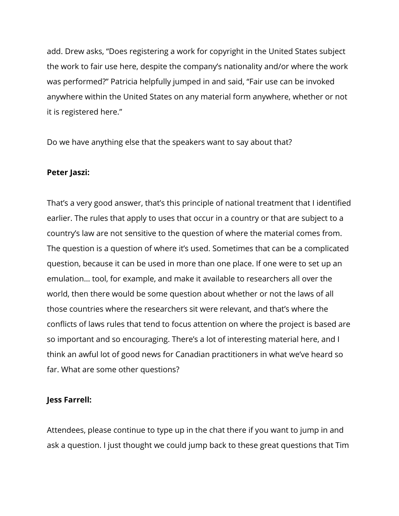add. Drew asks, "Does registering a work for copyright in the United States subject the work to fair use here, despite the company's nationality and/or where the work was performed?" Patricia helpfully jumped in and said, "Fair use can be invoked anywhere within the United States on any material form anywhere, whether or not it is registered here."

Do we have anything else that the speakers want to say about that?

# **Peter Jaszi:**

That's a very good answer, that's this principle of national treatment that I identified earlier. The rules that apply to uses that occur in a country or that are subject to a country's law are not sensitive to the question of where the material comes from. The question is a question of where it's used. Sometimes that can be a complicated question, because it can be used in more than one place. If one were to set up an emulation… tool, for example, and make it available to researchers all over the world, then there would be some question about whether or not the laws of all those countries where the researchers sit were relevant, and that's where the conflicts of laws rules that tend to focus attention on where the project is based are so important and so encouraging. There's a lot of interesting material here, and I think an awful lot of good news for Canadian practitioners in what we've heard so far. What are some other questions?

#### **Jess Farrell:**

Attendees, please continue to type up in the chat there if you want to jump in and ask a question. I just thought we could jump back to these great questions that Tim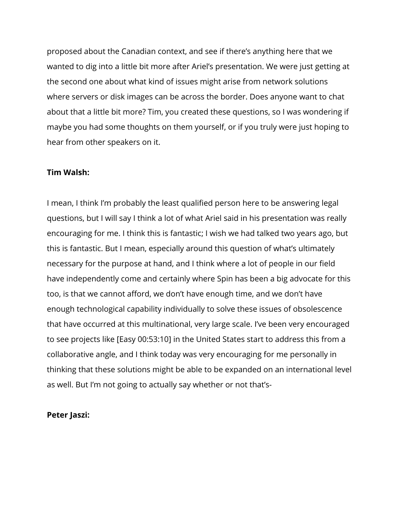proposed about the Canadian context, and see if there's anything here that we wanted to dig into a little bit more after Ariel's presentation. We were just getting at the second one about what kind of issues might arise from network solutions where servers or disk images can be across the border. Does anyone want to chat about that a little bit more? Tim, you created these questions, so I was wondering if maybe you had some thoughts on them yourself, or if you truly were just hoping to hear from other speakers on it.

#### **Tim Walsh:**

I mean, I think I'm probably the least qualified person here to be answering legal questions, but I will say I think a lot of what Ariel said in his presentation was really encouraging for me. I think this is fantastic; I wish we had talked two years ago, but this is fantastic. But I mean, especially around this question of what's ultimately necessary for the purpose at hand, and I think where a lot of people in our field have independently come and certainly where Spin has been a big advocate for this too, is that we cannot afford, we don't have enough time, and we don't have enough technological capability individually to solve these issues of obsolescence that have occurred at this multinational, very large scale. I've been very encouraged to see projects like [Easy 00:53:10] in the United States start to address this from a collaborative angle, and I think today was very encouraging for me personally in thinking that these solutions might be able to be expanded on an international level as well. But I'm not going to actually say whether or not that's-

#### **Peter Jaszi:**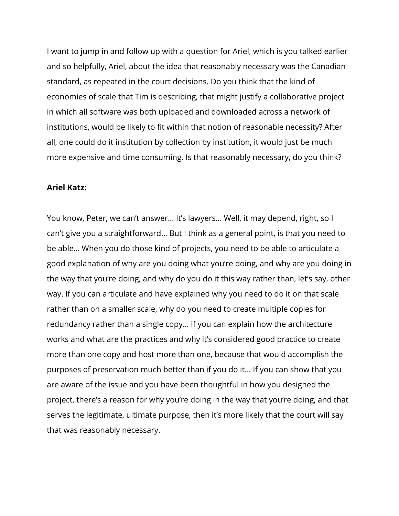I want to jump in and follow up with a question for Ariel, which is you talked earlier and so helpfully, Ariel, about the idea that reasonably necessary was the Canadian standard, as repeated in the court decisions. Do you think that the kind of economies of scale that Tim is describing, that might justify a collaborative project in which all software was both uploaded and downloaded across a network of institutions, would be likely to fit within that notion of reasonable necessity? After all, one could do it institution by collection by institution, it would just be much more expensive and time consuming. Is that reasonably necessary, do you think?

#### **Ariel Katz:**

You know, Peter, we can't answer… It's lawyers… Well, it may depend, right, so I can't give you a straightforward… But I think as a general point, is that you need to be able… When you do those kind of projects, you need to be able to articulate a good explanation of why are you doing what you're doing, and why are you doing in the way that you're doing, and why do you do it this way rather than, let's say, other way. If you can articulate and have explained why you need to do it on that scale rather than on a smaller scale, why do you need to create multiple copies for redundancy rather than a single copy… If you can explain how the architecture works and what are the practices and why it's considered good practice to create more than one copy and host more than one, because that would accomplish the purposes of preservation much better than if you do it… If you can show that you are aware of the issue and you have been thoughtful in how you designed the project, there's a reason for why you're doing in the way that you're doing, and that serves the legitimate, ultimate purpose, then it's more likely that the court will say that was reasonably necessary.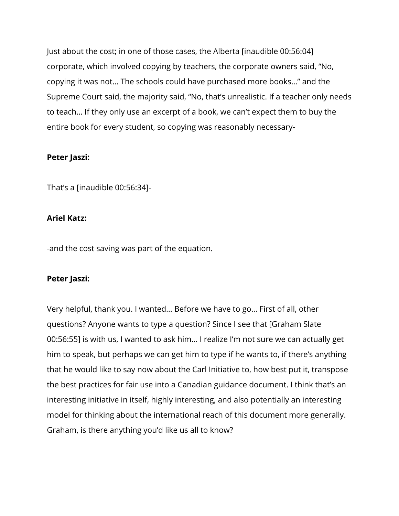Just about the cost; in one of those cases, the Alberta [inaudible 00:56:04] corporate, which involved copying by teachers, the corporate owners said, "No, copying it was not… The schools could have purchased more books…" and the Supreme Court said, the majority said, "No, that's unrealistic. If a teacher only needs to teach… If they only use an excerpt of a book, we can't expect them to buy the entire book for every student, so copying was reasonably necessary-

# **Peter Jaszi:**

That's a [inaudible 00:56:34]-

# **Ariel Katz:**

-and the cost saving was part of the equation.

#### **Peter Jaszi:**

Very helpful, thank you. I wanted… Before we have to go… First of all, other questions? Anyone wants to type a question? Since I see that [Graham Slate 00:56:55] is with us, I wanted to ask him… I realize I'm not sure we can actually get him to speak, but perhaps we can get him to type if he wants to, if there's anything that he would like to say now about the Carl Initiative to, how best put it, transpose the best practices for fair use into a Canadian guidance document. I think that's an interesting initiative in itself, highly interesting, and also potentially an interesting model for thinking about the international reach of this document more generally. Graham, is there anything you'd like us all to know?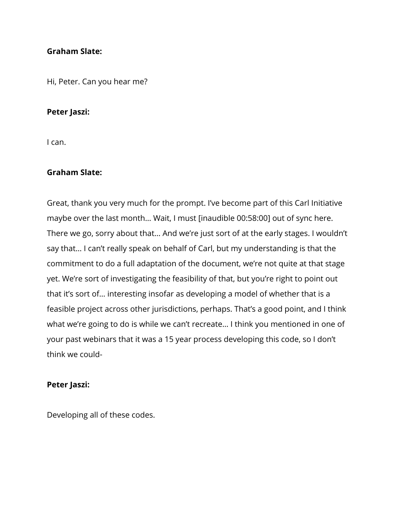#### **Graham Slate:**

Hi, Peter. Can you hear me?

#### **Peter Jaszi:**

I can.

#### **Graham Slate:**

Great, thank you very much for the prompt. I've become part of this Carl Initiative maybe over the last month… Wait, I must [inaudible 00:58:00] out of sync here. There we go, sorry about that… And we're just sort of at the early stages. I wouldn't say that… I can't really speak on behalf of Carl, but my understanding is that the commitment to do a full adaptation of the document, we're not quite at that stage yet. We're sort of investigating the feasibility of that, but you're right to point out that it's sort of… interesting insofar as developing a model of whether that is a feasible project across other jurisdictions, perhaps. That's a good point, and I think what we're going to do is while we can't recreate… I think you mentioned in one of your past webinars that it was a 15 year process developing this code, so I don't think we could-

#### **Peter Jaszi:**

Developing all of these codes.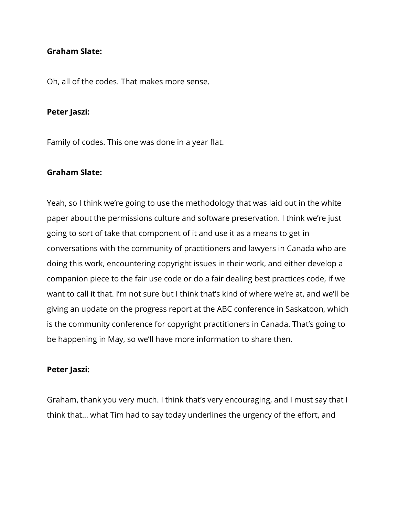#### **Graham Slate:**

Oh, all of the codes. That makes more sense.

#### **Peter Jaszi:**

Family of codes. This one was done in a year flat.

#### **Graham Slate:**

Yeah, so I think we're going to use the methodology that was laid out in the white paper about the permissions culture and software preservation. I think we're just going to sort of take that component of it and use it as a means to get in conversations with the community of practitioners and lawyers in Canada who are doing this work, encountering copyright issues in their work, and either develop a companion piece to the fair use code or do a fair dealing best practices code, if we want to call it that. I'm not sure but I think that's kind of where we're at, and we'll be giving an update on the progress report at the ABC conference in Saskatoon, which is the community conference for copyright practitioners in Canada. That's going to be happening in May, so we'll have more information to share then.

#### **Peter Jaszi:**

Graham, thank you very much. I think that's very encouraging, and I must say that I think that… what Tim had to say today underlines the urgency of the effort, and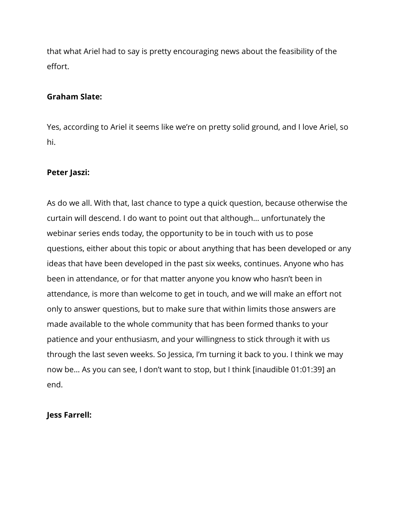that what Ariel had to say is pretty encouraging news about the feasibility of the effort.

### **Graham Slate:**

Yes, according to Ariel it seems like we're on pretty solid ground, and I love Ariel, so hi.

# **Peter Jaszi:**

As do we all. With that, last chance to type a quick question, because otherwise the curtain will descend. I do want to point out that although… unfortunately the webinar series ends today, the opportunity to be in touch with us to pose questions, either about this topic or about anything that has been developed or any ideas that have been developed in the past six weeks, continues. Anyone who has been in attendance, or for that matter anyone you know who hasn't been in attendance, is more than welcome to get in touch, and we will make an effort not only to answer questions, but to make sure that within limits those answers are made available to the whole community that has been formed thanks to your patience and your enthusiasm, and your willingness to stick through it with us through the last seven weeks. So Jessica, I'm turning it back to you. I think we may now be… As you can see, I don't want to stop, but I think [inaudible 01:01:39] an end.

# **Jess Farrell:**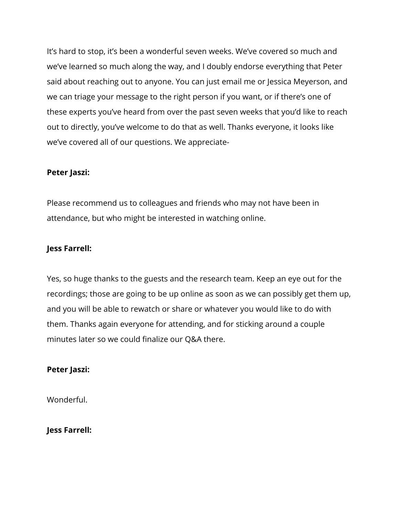It's hard to stop, it's been a wonderful seven weeks. We've covered so much and we've learned so much along the way, and I doubly endorse everything that Peter said about reaching out to anyone. You can just email me or Jessica Meyerson, and we can triage your message to the right person if you want, or if there's one of these experts you've heard from over the past seven weeks that you'd like to reach out to directly, you've welcome to do that as well. Thanks everyone, it looks like we've covered all of our questions. We appreciate-

# **Peter Jaszi:**

Please recommend us to colleagues and friends who may not have been in attendance, but who might be interested in watching online.

# **Jess Farrell:**

Yes, so huge thanks to the guests and the research team. Keep an eye out for the recordings; those are going to be up online as soon as we can possibly get them up, and you will be able to rewatch or share or whatever you would like to do with them. Thanks again everyone for attending, and for sticking around a couple minutes later so we could finalize our Q&A there.

#### **Peter Jaszi:**

Wonderful.

#### **Jess Farrell:**